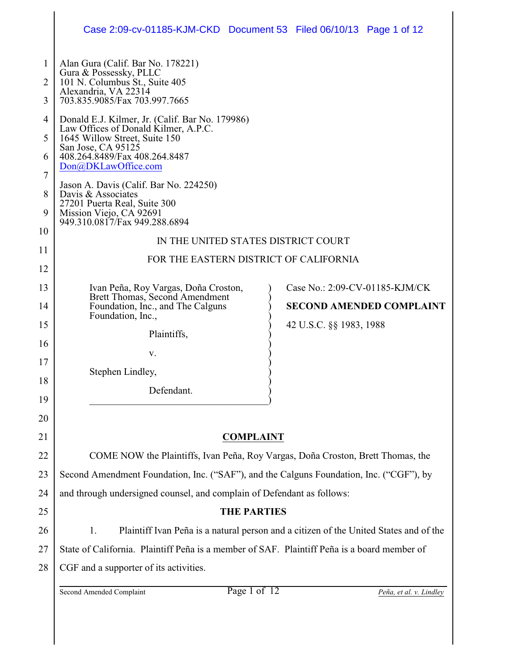|             | Case 2:09-cv-01185-KJM-CKD Document 53 Filed 06/10/13 Page 1 of 12                                                                                                                                     |  |                         |                                 |  |  |  |
|-------------|--------------------------------------------------------------------------------------------------------------------------------------------------------------------------------------------------------|--|-------------------------|---------------------------------|--|--|--|
| 1<br>2<br>3 | Alan Gura (Calif. Bar No. 178221)<br>Gura & Possessky, PLLC<br>101 N. Columbus St., Suite 405<br>Alexandria, VA 22314<br>703.835.9085/Fax 703.997.7665                                                 |  |                         |                                 |  |  |  |
| 4<br>5<br>6 | Donald E.J. Kilmer, Jr. (Calif. Bar No. 179986)<br>Law Offices of Donald Kilmer, A.P.C.<br>1645 Willow Street, Suite 150<br>San Jose, CA 95125<br>408.264.8489/Fax 408.264.8487<br>Don@DKLawOffice.com |  |                         |                                 |  |  |  |
| 7<br>8<br>9 | Jason A. Davis (Calif. Bar No. 224250)<br>Davis & Associates<br>27201 Puerta Real, Suite 300<br>Mission Viejo, CA 92691<br>949.310.0817/Fax 949.288.6894                                               |  |                         |                                 |  |  |  |
| 10          | IN THE UNITED STATES DISTRICT COURT                                                                                                                                                                    |  |                         |                                 |  |  |  |
| 11          | FOR THE EASTERN DISTRICT OF CALIFORNIA                                                                                                                                                                 |  |                         |                                 |  |  |  |
| 12<br>13    | Ivan Peña, Roy Vargas, Doña Croston,                                                                                                                                                                   |  |                         | Case No.: 2:09-CV-01185-KJM/CK  |  |  |  |
| 14          | Brett Thomas, Second Amendment<br>Foundation, Inc., and The Calguns                                                                                                                                    |  |                         | <b>SECOND AMENDED COMPLAINT</b> |  |  |  |
| 15          | Foundation, Inc.,                                                                                                                                                                                      |  | 42 U.S.C. §§ 1983, 1988 |                                 |  |  |  |
| 16          | Plaintiffs,                                                                                                                                                                                            |  |                         |                                 |  |  |  |
| 17          | V.                                                                                                                                                                                                     |  |                         |                                 |  |  |  |
| 18          | Stephen Lindley,                                                                                                                                                                                       |  |                         |                                 |  |  |  |
| 19          | Defendant.                                                                                                                                                                                             |  |                         |                                 |  |  |  |
| 20          |                                                                                                                                                                                                        |  |                         |                                 |  |  |  |
| 21          | <b>COMPLAINT</b>                                                                                                                                                                                       |  |                         |                                 |  |  |  |
| 22          | COME NOW the Plaintiffs, Ivan Peña, Roy Vargas, Doña Croston, Brett Thomas, the                                                                                                                        |  |                         |                                 |  |  |  |
| 23          | Second Amendment Foundation, Inc. ("SAF"), and the Calguns Foundation, Inc. ("CGF"), by                                                                                                                |  |                         |                                 |  |  |  |
| 24          | and through undersigned counsel, and complain of Defendant as follows:                                                                                                                                 |  |                         |                                 |  |  |  |
| 25          | <b>THE PARTIES</b>                                                                                                                                                                                     |  |                         |                                 |  |  |  |
| 26          | Plaintiff Ivan Peña is a natural person and a citizen of the United States and of the<br>1.                                                                                                            |  |                         |                                 |  |  |  |
| 27          | State of California. Plaintiff Peña is a member of SAF. Plaintiff Peña is a board member of                                                                                                            |  |                         |                                 |  |  |  |
| 28          | CGF and a supporter of its activities.                                                                                                                                                                 |  |                         |                                 |  |  |  |
|             | Page 1 of 12<br>Second Amended Complaint                                                                                                                                                               |  |                         | Peña, et al. v. Lindley         |  |  |  |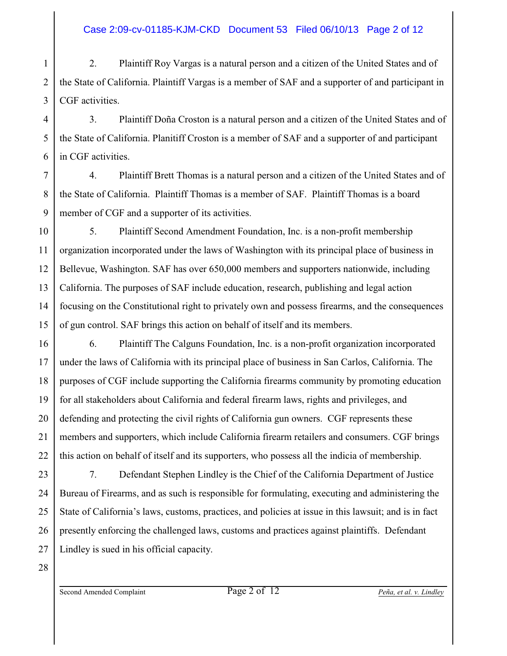#### Case 2:09-cv-01185-KJM-CKD Document 53 Filed 06/10/13 Page 2 of 12

1 2 3 2. Plaintiff Roy Vargas is a natural person and a citizen of the United States and of the State of California. Plaintiff Vargas is a member of SAF and a supporter of and participant in CGF activities.

4 3. Plaintiff Doña Croston is a natural person and a citizen of the United States and of the State of California. Planitiff Croston is a member of SAF and a supporter of and participant in CGF activities.

7 8 9 4. Plaintiff Brett Thomas is a natural person and a citizen of the United States and of the State of California. Plaintiff Thomas is a member of SAF. Plaintiff Thomas is a board member of CGF and a supporter of its activities.

10 11 12 13 14 15 5. Plaintiff Second Amendment Foundation, Inc. is a non-profit membership organization incorporated under the laws of Washington with its principal place of business in Bellevue, Washington. SAF has over 650,000 members and supporters nationwide, including California. The purposes of SAF include education, research, publishing and legal action focusing on the Constitutional right to privately own and possess firearms, and the consequences of gun control. SAF brings this action on behalf of itself and its members.

16 6. Plaintiff The Calguns Foundation, Inc. is a non-profit organization incorporated under the laws of California with its principal place of business in San Carlos, California. The purposes of CGF include supporting the California firearms community by promoting education for all stakeholders about California and federal firearm laws, rights and privileges, and defending and protecting the civil rights of California gun owners. CGF represents these members and supporters, which include California firearm retailers and consumers. CGF brings this action on behalf of itself and its supporters, who possess all the indicia of membership.

23 24 25 26 27 7. Defendant Stephen Lindley is the Chief of the California Department of Justice Bureau of Firearms, and as such is responsible for formulating, executing and administering the State of California's laws, customs, practices, and policies at issue in this lawsuit; and is in fact presently enforcing the challenged laws, customs and practices against plaintiffs. Defendant Lindley is sued in his official capacity.

28

17

18

19

20

21

22

5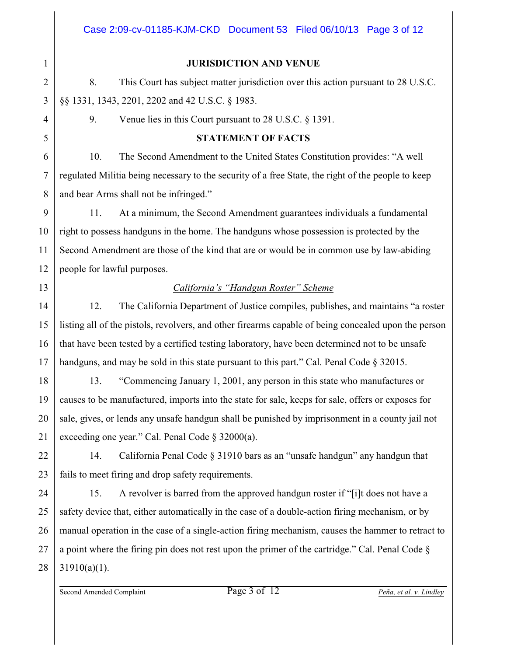#### **JURISDICTION AND VENUE**

8. This Court has subject matter jurisdiction over this action pursuant to 28 U.S.C. §§ 1331, 1343, 2201, 2202 and 42 U.S.C. § 1983.

9. Venue lies in this Court pursuant to 28 U.S.C. § 1391.

## **STATEMENT OF FACTS**

10. The Second Amendment to the United States Constitution provides: "A well regulated Militia being necessary to the security of a free State, the right of the people to keep and bear Arms shall not be infringed."

11. At a minimum, the Second Amendment guarantees individuals a fundamental right to possess handguns in the home. The handguns whose possession is protected by the Second Amendment are those of the kind that are or would be in common use by law-abiding people for lawful purposes.

# *California's "Handgun Roster" Scheme*

12. The California Department of Justice compiles, publishes, and maintains "a roster listing all of the pistols, revolvers, and other firearms capable of being concealed upon the person that have been tested by a certified testing laboratory, have been determined not to be unsafe handguns, and may be sold in this state pursuant to this part." Cal. Penal Code § 32015.

13. "Commencing January 1, 2001, any person in this state who manufactures or causes to be manufactured, imports into the state for sale, keeps for sale, offers or exposes for sale, gives, or lends any unsafe handgun shall be punished by imprisonment in a county jail not exceeding one year." Cal. Penal Code § 32000(a).

14. California Penal Code § 31910 bars as an "unsafe handgun" any handgun that fails to meet firing and drop safety requirements.

27 28 15. A revolver is barred from the approved handgun roster if "[i]t does not have a safety device that, either automatically in the case of a double-action firing mechanism, or by manual operation in the case of a single-action firing mechanism, causes the hammer to retract to a point where the firing pin does not rest upon the primer of the cartridge." Cal. Penal Code §  $31910(a)(1)$ .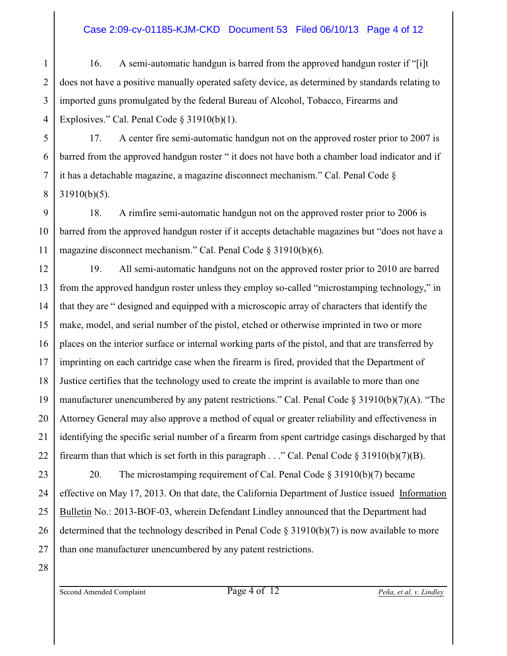#### Case 2:09-cv-01185-KJM-CKD Document 53 Filed 06/10/13 Page 4 of 12

1 2 3 4 16. A semi-automatic handgun is barred from the approved handgun roster if "[i]t does not have a positive manually operated safety device, as determined by standards relating to imported guns promulgated by the federal Bureau of Alcohol, Tobacco, Firearms and Explosives." Cal. Penal Code § 31910(b)(1).

5 6 17. A center fire semi-automatic handgun not on the approved roster prior to 2007 is barred from the approved handgun roster " it does not have both a chamber load indicator and if it has a detachable magazine, a magazine disconnect mechanism." Cal. Penal Code § 31910(b)(5).

9 18. A rimfire semi-automatic handgun not on the approved roster prior to 2006 is barred from the approved handgun roster if it accepts detachable magazines but "does not have a magazine disconnect mechanism." Cal. Penal Code § 31910(b)(6).

12 13 14 15 16 17 18 19 20 21 22 19. All semi-automatic handguns not on the approved roster prior to 2010 are barred from the approved handgun roster unless they employ so-called "microstamping technology," in that they are " designed and equipped with a microscopic array of characters that identify the make, model, and serial number of the pistol, etched or otherwise imprinted in two or more places on the interior surface or internal working parts of the pistol, and that are transferred by imprinting on each cartridge case when the firearm is fired, provided that the Department of Justice certifies that the technology used to create the imprint is available to more than one manufacturer unencumbered by any patent restrictions." Cal. Penal Code  $\S 31910(b)(7)(A)$ . "The Attorney General may also approve a method of equal or greater reliability and effectiveness in identifying the specific serial number of a firearm from spent cartridge casings discharged by that firearm than that which is set forth in this paragraph  $\ldots$ " Cal. Penal Code § 31910(b)(7)(B).

23 24 25 26 27 20. The microstamping requirement of Cal. Penal Code § 31910(b)(7) became effective on May 17, 2013. On that date, the California Department of Justice issued Information Bulletin No.: 2013-BOF-03, wherein Defendant Lindley announced that the Department had determined that the technology described in Penal Code § 31910(b)(7) is now available to more than one manufacturer unencumbered by any patent restrictions.

28

7

8

10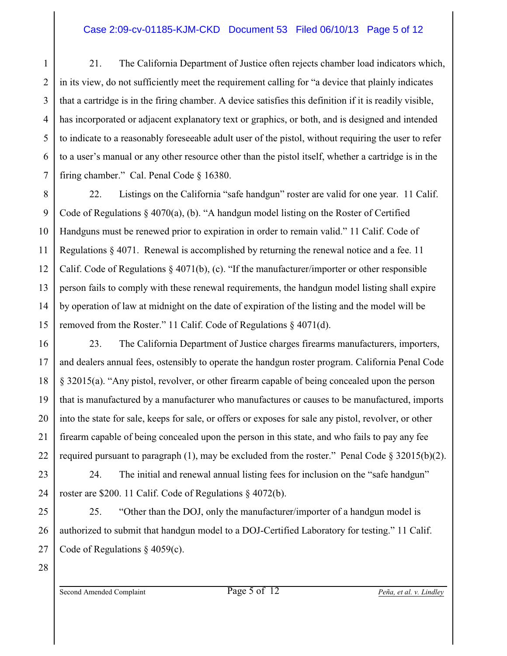#### Case 2:09-cv-01185-KJM-CKD Document 53 Filed 06/10/13 Page 5 of 12

1 2 3 4 5 6 7 21. The California Department of Justice often rejects chamber load indicators which, in its view, do not sufficiently meet the requirement calling for "a device that plainly indicates that a cartridge is in the firing chamber. A device satisfies this definition if it is readily visible, has incorporated or adjacent explanatory text or graphics, or both, and is designed and intended to indicate to a reasonably foreseeable adult user of the pistol, without requiring the user to refer to a user's manual or any other resource other than the pistol itself, whether a cartridge is in the firing chamber." Cal. Penal Code § 16380.

8 9 10 11 12 13 14 15 22. Listings on the California "safe handgun" roster are valid for one year. 11 Calif. Code of Regulations § 4070(a), (b). "A handgun model listing on the Roster of Certified Handguns must be renewed prior to expiration in order to remain valid." 11 Calif. Code of Regulations § 4071. Renewal is accomplished by returning the renewal notice and a fee. 11 Calif. Code of Regulations § 4071(b), (c). "If the manufacturer/importer or other responsible person fails to comply with these renewal requirements, the handgun model listing shall expire by operation of law at midnight on the date of expiration of the listing and the model will be removed from the Roster." 11 Calif. Code of Regulations § 4071(d).

16 18 23. The California Department of Justice charges firearms manufacturers, importers, and dealers annual fees, ostensibly to operate the handgun roster program. California Penal Code § 32015(a). "Any pistol, revolver, or other firearm capable of being concealed upon the person that is manufactured by a manufacturer who manufactures or causes to be manufactured, imports into the state for sale, keeps for sale, or offers or exposes for sale any pistol, revolver, or other firearm capable of being concealed upon the person in this state, and who fails to pay any fee required pursuant to paragraph (1), may be excluded from the roster." Penal Code  $\S 32015(b)(2)$ .

24. The initial and renewal annual listing fees for inclusion on the "safe handgun" roster are \$200. 11 Calif. Code of Regulations § 4072(b).

25. "Other than the DOJ, only the manufacturer/importer of a handgun model is authorized to submit that handgun model to a DOJ-Certified Laboratory for testing." 11 Calif. Code of Regulations § 4059(c).

28

17

19

20

21

22

23

24

25

26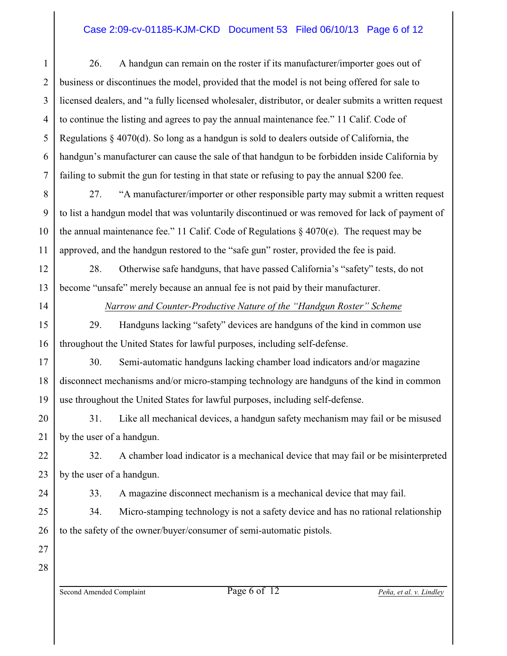#### Case 2:09-cv-01185-KJM-CKD Document 53 Filed 06/10/13 Page 6 of 12

1 2 3 4 5 6 7 26. A handgun can remain on the roster if its manufacturer/importer goes out of business or discontinues the model, provided that the model is not being offered for sale to licensed dealers, and "a fully licensed wholesaler, distributor, or dealer submits a written request to continue the listing and agrees to pay the annual maintenance fee." 11 Calif. Code of Regulations § 4070(d). So long as a handgun is sold to dealers outside of California, the handgun's manufacturer can cause the sale of that handgun to be forbidden inside California by failing to submit the gun for testing in that state or refusing to pay the annual \$200 fee.

8 9 10 11 27. "A manufacturer/importer or other responsible party may submit a written request to list a handgun model that was voluntarily discontinued or was removed for lack of payment of the annual maintenance fee." 11 Calif. Code of Regulations  $\S$  4070(e). The request may be approved, and the handgun restored to the "safe gun" roster, provided the fee is paid.

28. Otherwise safe handguns, that have passed California's "safety" tests, do not become "unsafe" merely because an annual fee is not paid by their manufacturer.

12

13

14

15

16

17

18

19

*Narrow and Counter-Productive Nature of the "Handgun Roster" Scheme*

29. Handguns lacking "safety" devices are handguns of the kind in common use throughout the United States for lawful purposes, including self-defense.

30. Semi-automatic handguns lacking chamber load indicators and/or magazine disconnect mechanisms and/or micro-stamping technology are handguns of the kind in common use throughout the United States for lawful purposes, including self-defense.

20 21 31. Like all mechanical devices, a handgun safety mechanism may fail or be misused by the user of a handgun.

22 23 32. A chamber load indicator is a mechanical device that may fail or be misinterpreted by the user of a handgun.

33. A magazine disconnect mechanism is a mechanical device that may fail.

34. Micro-stamping technology is not a safety device and has no rational relationship to the safety of the owner/buyer/consumer of semi-automatic pistols.

27 28

24

25

26

Second Amended Complaint Page 6 of 12 *Peña, et al. v. Lindley*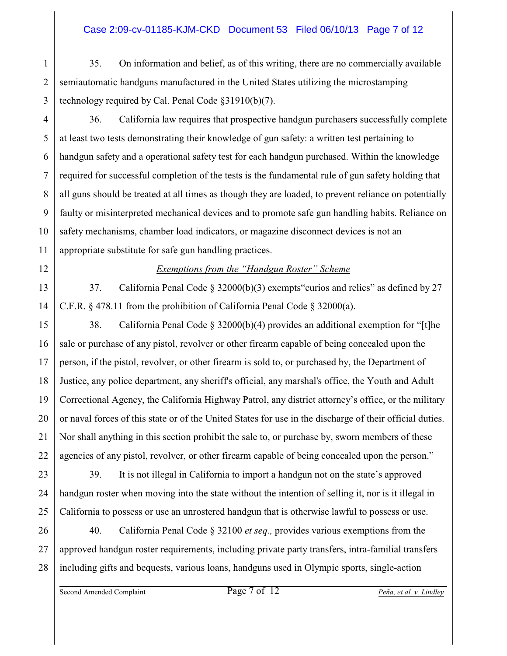#### Case 2:09-cv-01185-KJM-CKD Document 53 Filed 06/10/13 Page 7 of 12

1 2 3 35. On information and belief, as of this writing, there are no commercially available semiautomatic handguns manufactured in the United States utilizing the microstamping technology required by Cal. Penal Code §31910(b)(7).

4 5 6 7 8 9 10 11 36. California law requires that prospective handgun purchasers successfully complete at least two tests demonstrating their knowledge of gun safety: a written test pertaining to handgun safety and a operational safety test for each handgun purchased. Within the knowledge required for successful completion of the tests is the fundamental rule of gun safety holding that all guns should be treated at all times as though they are loaded, to prevent reliance on potentially faulty or misinterpreted mechanical devices and to promote safe gun handling habits. Reliance on safety mechanisms, chamber load indicators, or magazine disconnect devices is not an appropriate substitute for safe gun handling practices.

#### *Exemptions from the "Handgun Roster" Scheme*

37. California Penal Code § 32000(b)(3) exempts"curios and relics" as defined by 27 C.F.R. § 478.11 from the prohibition of California Penal Code § 32000(a).

15 16 17 18 19 20 21 22 38. California Penal Code § 32000(b)(4) provides an additional exemption for "[t]he sale or purchase of any pistol, revolver or other firearm capable of being concealed upon the person, if the pistol, revolver, or other firearm is sold to, or purchased by, the Department of Justice, any police department, any sheriff's official, any marshal's office, the Youth and Adult Correctional Agency, the California Highway Patrol, any district attorney's office, or the military or naval forces of this state or of the United States for use in the discharge of their official duties. Nor shall anything in this section prohibit the sale to, or purchase by, sworn members of these agencies of any pistol, revolver, or other firearm capable of being concealed upon the person."

23 39. It is not illegal in California to import a handgun not on the state's approved handgun roster when moving into the state without the intention of selling it, nor is it illegal in California to possess or use an unrostered handgun that is otherwise lawful to possess or use.

26 27 28 40. California Penal Code § 32100 *et seq.,* provides various exemptions from the approved handgun roster requirements, including private party transfers, intra-familial transfers including gifts and bequests, various loans, handguns used in Olympic sports, single-action

Second Amended Complaint Page 7 of 12 *Peña, et al. v. Lindley*

12

13

14

24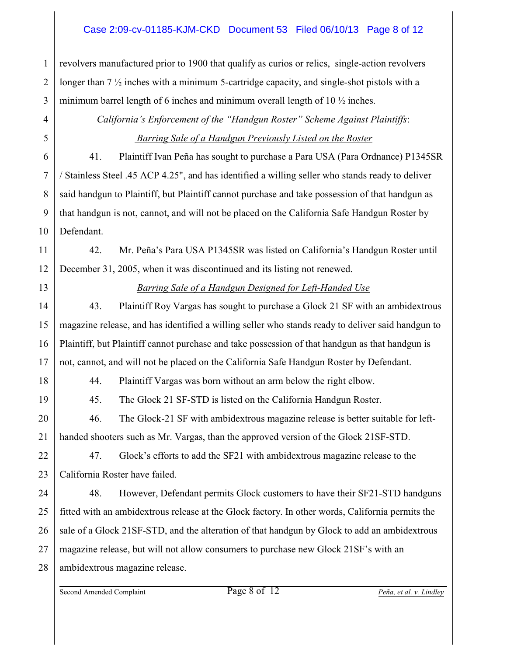#### Case 2:09-cv-01185-KJM-CKD Document 53 Filed 06/10/13 Page 8 of 12

revolvers manufactured prior to 1900 that qualify as curios or relics, single-action revolvers longer than 7 ½ inches with a minimum 5-cartridge capacity, and single-shot pistols with a minimum barrel length of 6 inches and minimum overall length of 10  $\frac{1}{2}$  inches.

# 4 5 6

7

8

9

10

1

2

3

*California's Enforcement of the "Handgun Roster" Scheme Against Plaintiffs*:  *Barring Sale of a Handgun Previously Listed on the Roster*

41. Plaintiff Ivan Peña has sought to purchase a Para USA (Para Ordnance) P1345SR / Stainless Steel .45 ACP 4.25", and has identified a willing seller who stands ready to deliver said handgun to Plaintiff, but Plaintiff cannot purchase and take possession of that handgun as that handgun is not, cannot, and will not be placed on the California Safe Handgun Roster by Defendant.

11 12 42. Mr. Peña's Para USA P1345SR was listed on California's Handgun Roster until December 31, 2005, when it was discontinued and its listing not renewed.

13

14

15

16

17

19

20

21

### *Barring Sale of a Handgun Designed for Left-Handed Use*

43. Plaintiff Roy Vargas has sought to purchase a Glock 21 SF with an ambidextrous magazine release, and has identified a willing seller who stands ready to deliver said handgun to Plaintiff, but Plaintiff cannot purchase and take possession of that handgun as that handgun is not, cannot, and will not be placed on the California Safe Handgun Roster by Defendant.

18

44. Plaintiff Vargas was born without an arm below the right elbow.

45. The Glock 21 SF-STD is listed on the California Handgun Roster.

46. The Glock-21 SF with ambidextrous magazine release is better suitable for lefthanded shooters such as Mr. Vargas, than the approved version of the Glock 21SF-STD.

22 23 47. Glock's efforts to add the SF21 with ambidextrous magazine release to the California Roster have failed.

24 25 26 27 28 48. However, Defendant permits Glock customers to have their SF21-STD handguns fitted with an ambidextrous release at the Glock factory. In other words, California permits the sale of a Glock 21SF-STD, and the alteration of that handgun by Glock to add an ambidextrous magazine release, but will not allow consumers to purchase new Glock 21SF's with an ambidextrous magazine release.

Second Amended Complaint Page 8 of 12 *Peña, et al. v. Lindley*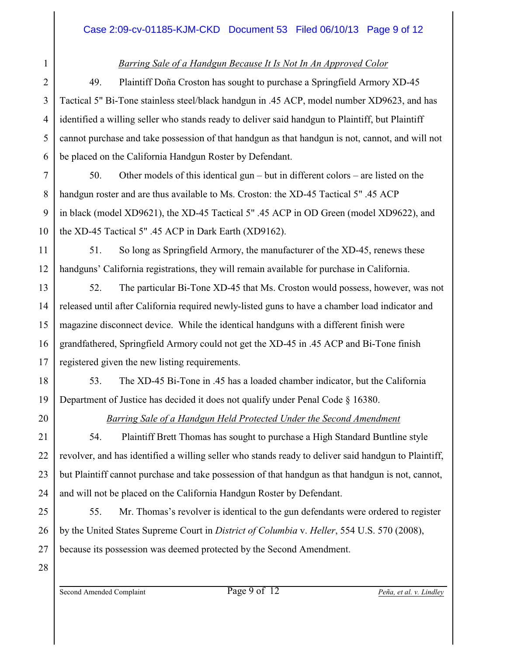### *Barring Sale of a Handgun Because It Is Not In An Approved Color*

49. Plaintiff Doña Croston has sought to purchase a Springfield Armory XD-45 Tactical 5" Bi-Tone stainless steel/black handgun in .45 ACP, model number XD9623, and has identified a willing seller who stands ready to deliver said handgun to Plaintiff, but Plaintiff cannot purchase and take possession of that handgun as that handgun is not, cannot, and will not be placed on the California Handgun Roster by Defendant.

7 8 9 10 50. Other models of this identical gun – but in different colors – are listed on the handgun roster and are thus available to Ms. Croston: the XD-45 Tactical 5" .45 ACP in black (model XD9621), the XD-45 Tactical 5" .45 ACP in OD Green (model XD9622), and the XD-45 Tactical 5" .45 ACP in Dark Earth (XD9162).

51. So long as Springfield Armory, the manufacturer of the XD-45, renews these handguns' California registrations, they will remain available for purchase in California.

13 14 15 16 17 52. The particular Bi-Tone XD-45 that Ms. Croston would possess, however, was not released until after California required newly-listed guns to have a chamber load indicator and magazine disconnect device. While the identical handguns with a different finish were grandfathered, Springfield Armory could not get the XD-45 in .45 ACP and Bi-Tone finish registered given the new listing requirements.

53. The XD-45 Bi-Tone in .45 has a loaded chamber indicator, but the California Department of Justice has decided it does not qualify under Penal Code § 16380.

18

19

20

21

22

23

24

25

26

27

1

2

3

4

5

6

11

12

## *Barring Sale of a Handgun Held Protected Under the Second Amendment*

54. Plaintiff Brett Thomas has sought to purchase a High Standard Buntline style revolver, and has identified a willing seller who stands ready to deliver said handgun to Plaintiff, but Plaintiff cannot purchase and take possession of that handgun as that handgun is not, cannot, and will not be placed on the California Handgun Roster by Defendant.

55. Mr. Thomas's revolver is identical to the gun defendants were ordered to register by the United States Supreme Court in *District of Columbia* v. *Heller*, 554 U.S. 570 (2008), because its possession was deemed protected by the Second Amendment.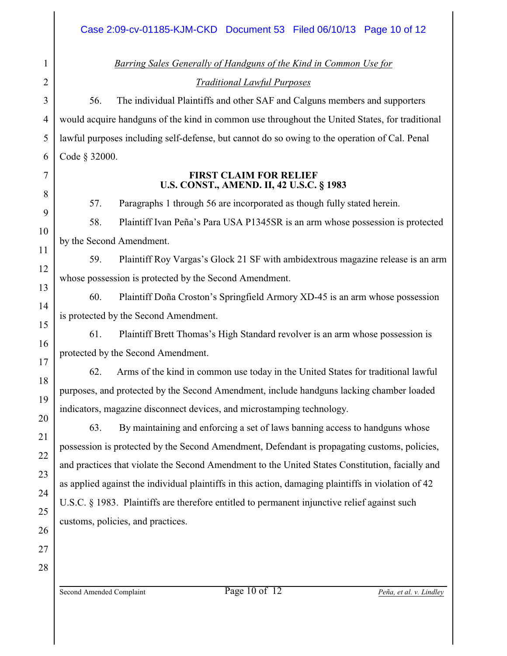*Barring Sales Generally of Handguns of the Kind in Common Use for Traditional Lawful Purposes*

56. The individual Plaintiffs and other SAF and Calguns members and supporters would acquire handguns of the kind in common use throughout the United States, for traditional lawful purposes including self-defense, but cannot do so owing to the operation of Cal. Penal Code § 32000.

#### **FIRST CLAIM FOR RELIEF U.S. CONST., AMEND. II, 42 U.S.C. § 1983**

57. Paragraphs 1 through 56 are incorporated as though fully stated herein.

58. Plaintiff Ivan Peña's Para USA P1345SR is an arm whose possession is protected by the Second Amendment.

59. Plaintiff Roy Vargas's Glock 21 SF with ambidextrous magazine release is an arm whose possession is protected by the Second Amendment.

60. Plaintiff Doña Croston's Springfield Armory XD-45 is an arm whose possession is protected by the Second Amendment.

61. Plaintiff Brett Thomas's High Standard revolver is an arm whose possession is protected by the Second Amendment.

62. Arms of the kind in common use today in the United States for traditional lawful purposes, and protected by the Second Amendment, include handguns lacking chamber loaded indicators, magazine disconnect devices, and microstamping technology.

63. By maintaining and enforcing a set of laws banning access to handguns whose possession is protected by the Second Amendment, Defendant is propagating customs, policies, and practices that violate the Second Amendment to the United States Constitution, facially and as applied against the individual plaintiffs in this action, damaging plaintiffs in violation of 42 U.S.C. § 1983. Plaintiffs are therefore entitled to permanent injunctive relief against such customs, policies, and practices.

1

2

3

4

5

6

7

8

9

10

11

12

13

14

15

16

17

18

19

20

Second Amended Complaint Page 10 of 12 *Peña, et al. v. Lindley*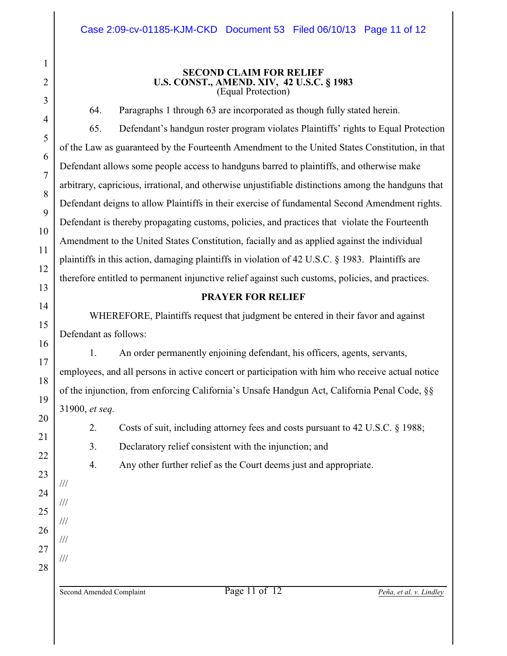#### **SECOND CLAIM FOR RELIEF U.S. CONST., AMEND. XIV, 42 U.S.C. § 1983** (Equal Protection)

64. Paragraphs 1 through 63 are incorporated as though fully stated herein.

65. Defendant's handgun roster program violates Plaintiffs' rights to Equal Protection of the Law as guaranteed by the Fourteenth Amendment to the United States Constitution, in that Defendant allows some people access to handguns barred to plaintiffs, and otherwise make arbitrary, capricious, irrational, and otherwise unjustifiable distinctions among the handguns that Defendant deigns to allow Plaintiffs in their exercise of fundamental Second Amendment rights. Defendant is thereby propagating customs, policies, and practices that violate the Fourteenth Amendment to the United States Constitution, facially and as applied against the individual plaintiffs in this action, damaging plaintiffs in violation of 42 U.S.C. § 1983. Plaintiffs are therefore entitled to permanent injunctive relief against such customs, policies, and practices.

### **PRAYER FOR RELIEF**

WHEREFORE, Plaintiffs request that judgment be entered in their favor and against Defendant as follows:

1. An order permanently enjoining defendant, his officers, agents, servants, employees, and all persons in active concert or participation with him who receive actual notice of the injunction, from enforcing California's Unsafe Handgun Act, California Penal Code, §§ 31900, *et seq.*

2. Costs of suit, including attorney fees and costs pursuant to 42 U.S.C. § 1988;

3. Declaratory relief consistent with the injunction; and

4. Any other further relief as the Court deems just and appropriate.

Second Amended Complaint Page 11 of 12 *Peña, et al. v. Lindley*

///

///

///

///

///